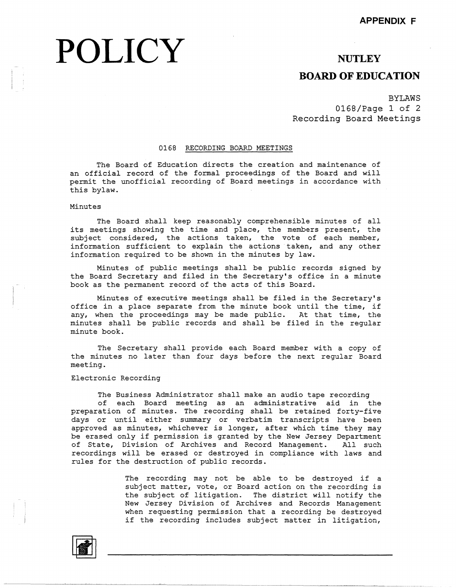# POLICY NUTLEY

## **BOARD OF EDUCATION**

## BYLAWS 0168/Page 1 of 2 Recording Board Meetings

### 0168 RECORDING BOARD MEETINGS

The Board of Education directs the creation and maintenance of an official record of the formal proceedings of the Board and will permit the unofficial recording of Board meetings in accordance with this bylaw.

#### Minutes

The Board shall keep reasonably comprehensible minutes of all its meetings showing the time and place, the members present, the subject considered, the actions taken, the vote of each member, information sufficient to explain the actions taken, and any other information required to be shown in the minutes by law.

Minutes of public meetings shall be public records signed by the Board Secretary and filed in the Secretary's office in a minute book as the permanent record of the acts of this Board.

Minutes of executive meetings shall be filed in the Secretary's office in a place separate from the minute book until the time, if any, when the proceedings may be made public. At that time, the minutes shall be public records and shall be filed in the regular minute book.

The Secretary shall provide each Board member with a copy of the minutes no later than four days before the next regular Board meeting.

### Electronic Recording

The Business Administrator shall make an audio tape recording

of each Board meeting as an administrative aid in the preparation of minutes. The recording shall be retained forty-five days or until either summary or verbatim transcripts have been approved as minutes, whichever is longer, after which time they may be erased only if permission is granted by the New Jersey Department of State, Division of Archives and Record Management. All such recordings will be erased or destroyed in compliance with laws and rules for the destruction of public records.

> The recording may not be able to be destroyed if a subject matter, vote, or Board action on the recording is the subject of litigation. The district will notify the New Jersey Division of Archives and Records Management when requesting permission that a recording be destroyed if the recording includes subject matter in litigation,